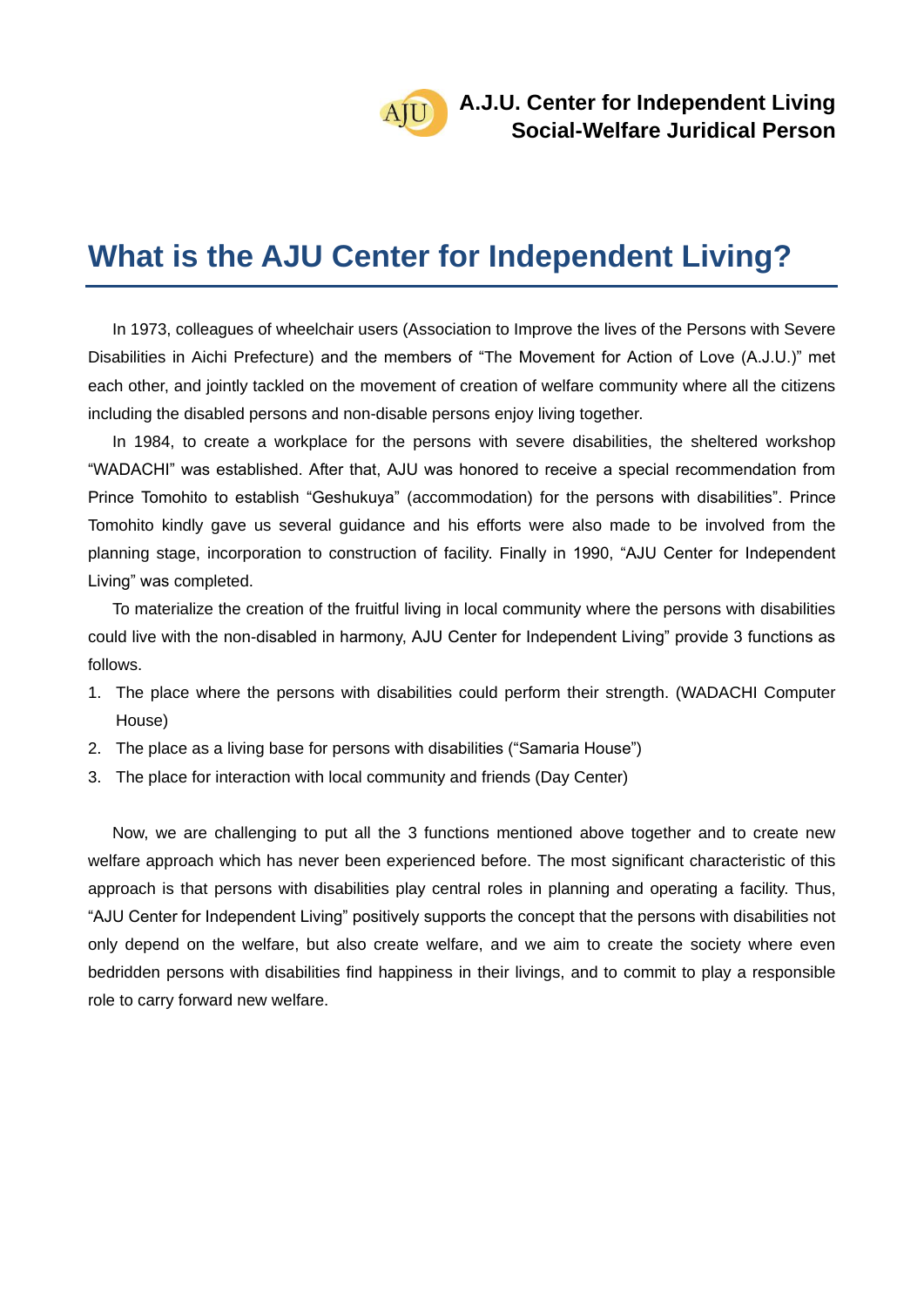### **What is the AJU Center for Independent Living?**

In 1973, colleagues of wheelchair users (Association to Improve the lives of the Persons with Severe Disabilities in Aichi Prefecture) and the members of "The Movement for Action of Love (A.J.U.)" met each other, and jointly tackled on the movement of creation of welfare community where all the citizens including the disabled persons and non-disable persons enjoy living together.

In 1984, to create a workplace for the persons with severe disabilities, the sheltered workshop "WADACHI" was established. After that, AJU was honored to receive a special recommendation from Prince Tomohito to establish "Geshukuya" (accommodation) for the persons with disabilities". Prince Tomohito kindly gave us several guidance and his efforts were also made to be involved from the planning stage, incorporation to construction of facility. Finally in 1990, "AJU Center for Independent Living" was completed.

To materialize the creation of the fruitful living in local community where the persons with disabilities could live with the non-disabled in harmony, AJU Center for Independent Living" provide 3 functions as follows.

- 1. The place where the persons with disabilities could perform their strength. (WADACHI Computer House)
- 2. The place as a living base for persons with disabilities ("Samaria House")
- 3. The place for interaction with local community and friends (Day Center)

Now, we are challenging to put all the 3 functions mentioned above together and to create new welfare approach which has never been experienced before. The most significant characteristic of this approach is that persons with disabilities play central roles in planning and operating a facility. Thus, "AJU Center for Independent Living" positively supports the concept that the persons with disabilities not only depend on the welfare, but also create welfare, and we aim to create the society where even bedridden persons with disabilities find happiness in their livings, and to commit to play a responsible role to carry forward new welfare.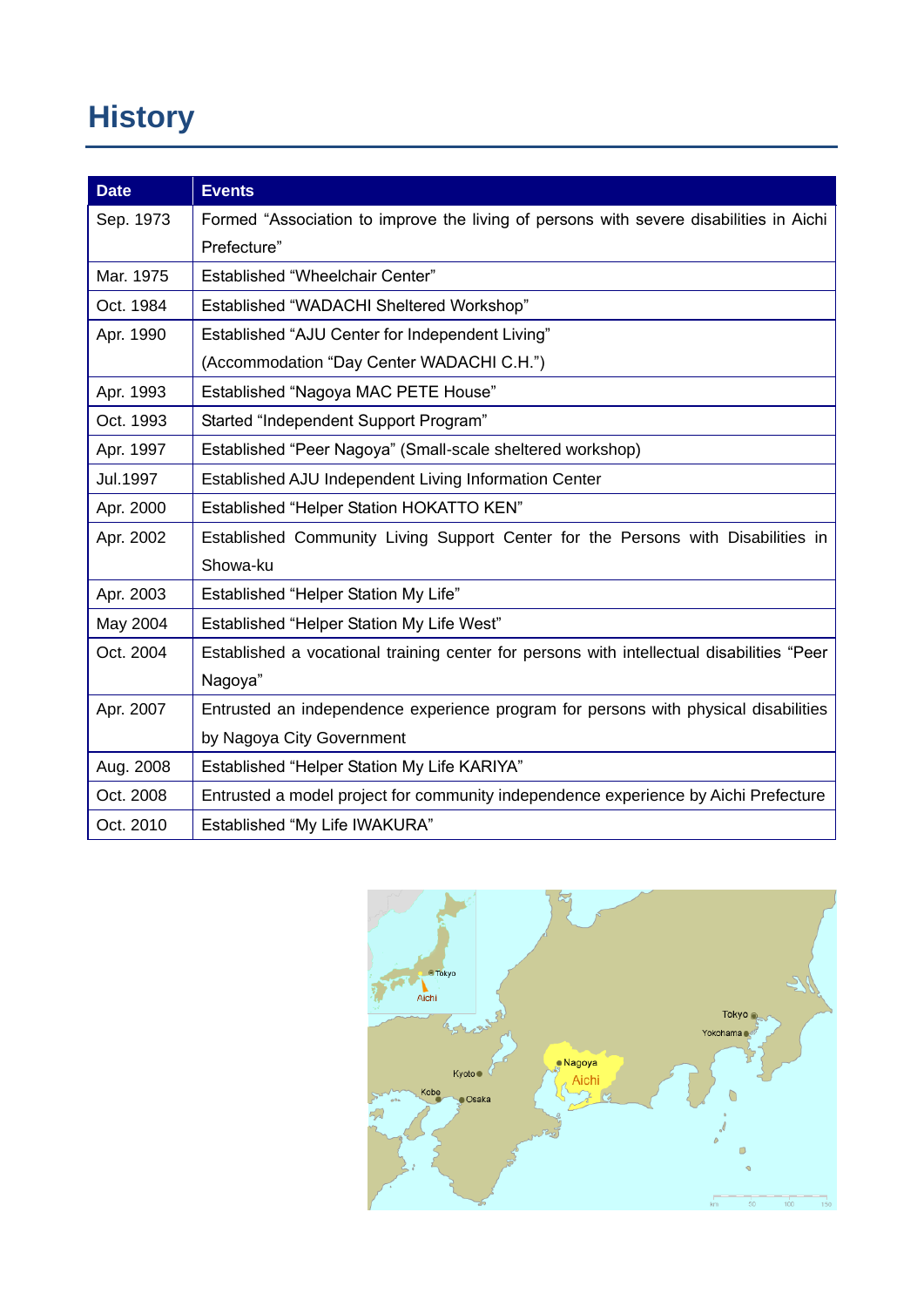# **History**

| <b>Date</b> | <b>Events</b>                                                                             |
|-------------|-------------------------------------------------------------------------------------------|
| Sep. 1973   | Formed "Association to improve the living of persons with severe disabilities in Aichi    |
|             | Prefecture"                                                                               |
| Mar. 1975   | Established "Wheelchair Center"                                                           |
| Oct. 1984   | Established "WADACHI Sheltered Workshop"                                                  |
| Apr. 1990   | Established "AJU Center for Independent Living"                                           |
|             | (Accommodation "Day Center WADACHI C.H.")                                                 |
| Apr. 1993   | Established "Nagoya MAC PETE House"                                                       |
| Oct. 1993   | Started "Independent Support Program"                                                     |
| Apr. 1997   | Established "Peer Nagoya" (Small-scale sheltered workshop)                                |
| Jul.1997    | Established AJU Independent Living Information Center                                     |
| Apr. 2000   | Established "Helper Station HOKATTO KEN"                                                  |
| Apr. 2002   | Established Community Living Support Center for the Persons with Disabilities in          |
|             | Showa-ku                                                                                  |
| Apr. 2003   | Established "Helper Station My Life"                                                      |
| May 2004    | Established "Helper Station My Life West"                                                 |
| Oct. 2004   | Established a vocational training center for persons with intellectual disabilities "Peer |
|             | Nagoya"                                                                                   |
| Apr. 2007   | Entrusted an independence experience program for persons with physical disabilities       |
|             | by Nagoya City Government                                                                 |
| Aug. 2008   | Established "Helper Station My Life KARIYA"                                               |
| Oct. 2008   | Entrusted a model project for community independence experience by Aichi Prefecture       |
| Oct. 2010   | Established "My Life IWAKURA"                                                             |

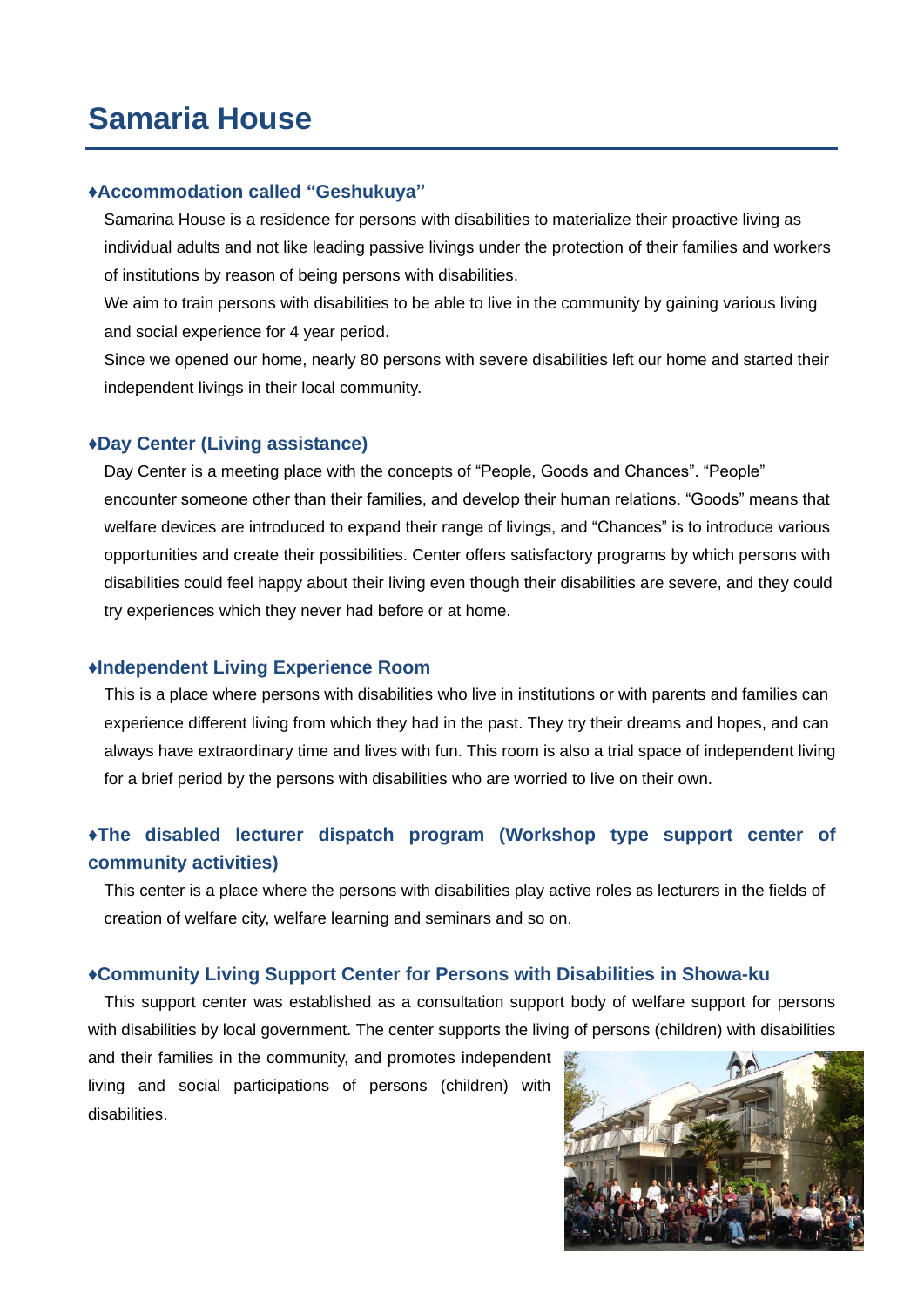### **Samaria House**

#### **♦Accommodation called "Geshukuya"**

Samarina House is a residence for persons with disabilities to materialize their proactive living as individual adults and not like leading passive livings under the protection of their families and workers of institutions by reason of being persons with disabilities.

We aim to train persons with disabilities to be able to live in the community by gaining various living and social experience for 4 year period.

Since we opened our home, nearly 80 persons with severe disabilities left our home and started their independent livings in their local community.

#### **♦Day Center (Living assistance)**

Day Center is a meeting place with the concepts of "People, Goods and Chances". "People" encounter someone other than their families, and develop their human relations. "Goods" means that welfare devices are introduced to expand their range of livings, and "Chances" is to introduce various opportunities and create their possibilities. Center offers satisfactory programs by which persons with disabilities could feel happy about their living even though their disabilities are severe, and they could try experiences which they never had before or at home.

#### **♦Independent Living Experience Room**

This is a place where persons with disabilities who live in institutions or with parents and families can experience different living from which they had in the past. They try their dreams and hopes, and can always have extraordinary time and lives with fun. This room is also a trial space of independent living for a brief period by the persons with disabilities who are worried to live on their own.

### **♦The disabled lecturer dispatch program (Workshop type support center of community activities)**

This center is a place where the persons with disabilities play active roles as lecturers in the fields of creation of welfare city, welfare learning and seminars and so on.

#### **♦Community Living Support Center for Persons with Disabilities in Showa-ku**

This support center was established as a consultation support body of welfare support for persons with disabilities by local government. The center supports the living of persons (children) with disabilities

and their families in the community, and promotes independent living and social participations of persons (children) with disabilities.

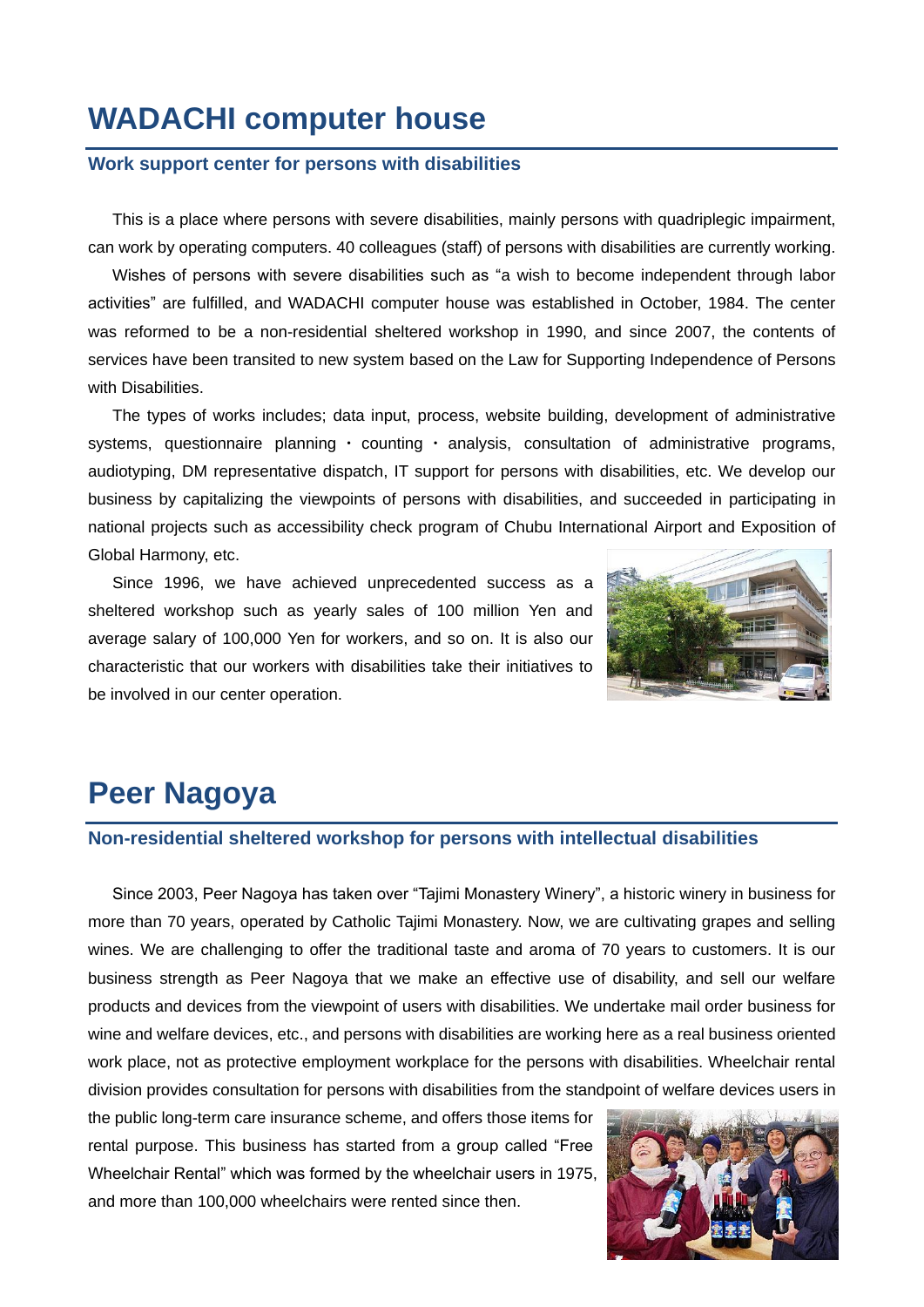### **WADACHI computer house**

#### **Work support center for persons with disabilities**

This is a place where persons with severe disabilities, mainly persons with quadriplegic impairment, can work by operating computers. 40 colleagues (staff) of persons with disabilities are currently working.

Wishes of persons with severe disabilities such as "a wish to become independent through labor activities" are fulfilled, and WADACHI computer house was established in October, 1984. The center was reformed to be a non-residential sheltered workshop in 1990, and since 2007, the contents of services have been transited to new system based on the Law for Supporting Independence of Persons with Disabilities.

The types of works includes; data input, process, website building, development of administrative systems, questionnaire planning · counting · analysis, consultation of administrative programs, audiotyping, DM representative dispatch, IT support for persons with disabilities, etc. We develop our business by capitalizing the viewpoints of persons with disabilities, and succeeded in participating in national projects such as accessibility check program of Chubu International Airport and Exposition of Global Harmony, etc.

Since 1996, we have achieved unprecedented success as a sheltered workshop such as yearly sales of 100 million Yen and average salary of 100,000 Yen for workers, and so on. It is also our characteristic that our workers with disabilities take their initiatives to be involved in our center operation.



## **Peer Nagoya**

#### **Non-residential sheltered workshop for persons with intellectual disabilities**

Since 2003, Peer Nagoya has taken over "Tajimi Monastery Winery", a historic winery in business for more than 70 years, operated by Catholic Tajimi Monastery. Now, we are cultivating grapes and selling wines. We are challenging to offer the traditional taste and aroma of 70 years to customers. It is our business strength as Peer Nagoya that we make an effective use of disability, and sell our welfare products and devices from the viewpoint of users with disabilities. We undertake mail order business for wine and welfare devices, etc., and persons with disabilities are working here as a real business oriented work place, not as protective employment workplace for the persons with disabilities. Wheelchair rental division provides consultation for persons with disabilities from the standpoint of welfare devices users in

the public long-term care insurance scheme, and offers those items for rental purpose. This business has started from a group called "Free Wheelchair Rental" which was formed by the wheelchair users in 1975, and more than 100,000 wheelchairs were rented since then.

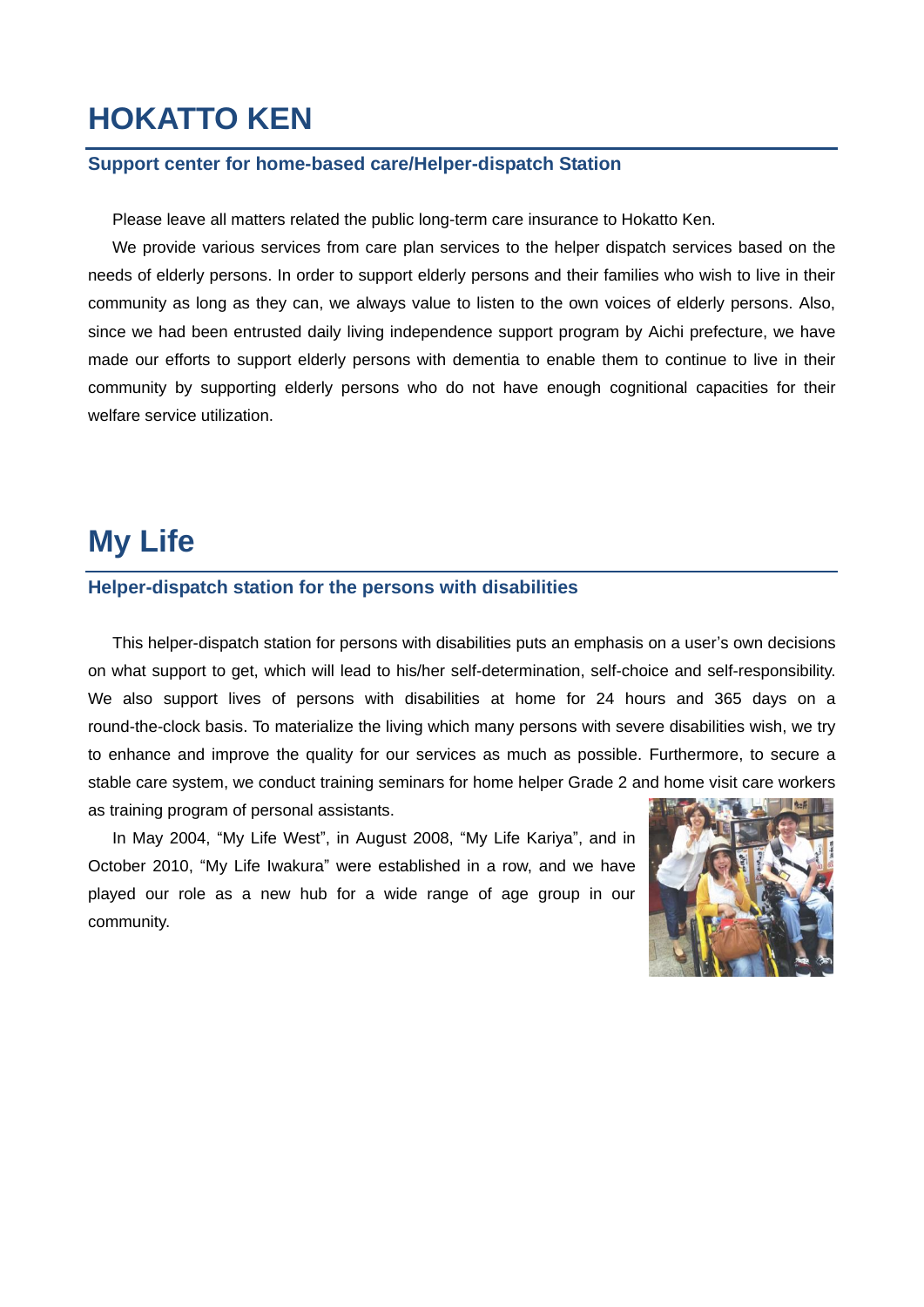## **HOKATTO KEN**

#### **Support center for home-based care/Helper-dispatch Station**

Please leave all matters related the public long-term care insurance to Hokatto Ken.

We provide various services from care plan services to the helper dispatch services based on the needs of elderly persons. In order to support elderly persons and their families who wish to live in their community as long as they can, we always value to listen to the own voices of elderly persons. Also, since we had been entrusted daily living independence support program by Aichi prefecture, we have made our efforts to support elderly persons with dementia to enable them to continue to live in their community by supporting elderly persons who do not have enough cognitional capacities for their welfare service utilization.

### **My Life**

#### **Helper-dispatch station for the persons with disabilities**

This helper-dispatch station for persons with disabilities puts an emphasis on a user's own decisions on what support to get, which will lead to his/her self-determination, self-choice and self-responsibility. We also support lives of persons with disabilities at home for 24 hours and 365 days on a round-the-clock basis. To materialize the living which many persons with severe disabilities wish, we try to enhance and improve the quality for our services as much as possible. Furthermore, to secure a stable care system, we conduct training seminars for home helper Grade 2 and home visit care workers as training program of personal assistants.

In May 2004, "My Life West", in August 2008, "My Life Kariya", and in October 2010, "My Life Iwakura" were established in a row, and we have played our role as a new hub for a wide range of age group in our community.